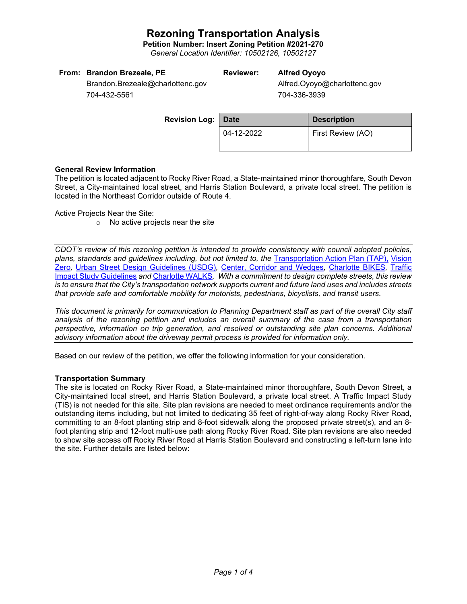**Petition Number: Insert Zoning Petition #2021-270**

*General Location Identifier: 10502126, 10502127*

**Reviewer: Alfred Oyoyo**

 Alfred.Oyoyo@charlottenc.gov 704-336-3939

Brandon.Brezeale@charlottenc.gov 704-432-5561

| <b>Revision Log:   Date</b> |            | <b>Description</b> |  |
|-----------------------------|------------|--------------------|--|
|                             | 04-12-2022 | First Review (AO)  |  |

# **General Review Information**

The petition is located adjacent to Rocky River Road, a State-maintained minor thoroughfare, South Devon Street, a City-maintained local street, and Harris Station Boulevard, a private local street. The petition is located in the Northeast Corridor outside of Route 4.

Active Projects Near the Site:

o No active projects near the site

*CDOT's review of this rezoning petition is intended to provide consistency with council adopted policies, plans, standards and guidelines including, but not limited to, the* [Transportation Action Plan \(TAP\),](https://charlottenc.gov/Transportation/Programs/Pages/TransportationActionPlan.aspx) [Vision](https://charlottenc.gov/VisionZero/Pages/VisionZero.aspx)  [Zero](https://charlottenc.gov/VisionZero/Pages/VisionZero.aspx)*,* [Urban Street Design Guidelines \(USDG\)](https://charlottenc.gov/Transportation/PlansProjects/Documents/USDG%20Full%20Document.pdf)*,* [Center, Corridor and Wedges](http://ww.charmeck.org/Planning/Land%20Use%20Planning/CentersCorridorsWedges/CentersCorridorsWedges(Adopted).pdf)*,* [Charlotte BIKES](https://charlottenc.gov/Transportation/Programs/Pages/Bicycle.aspx)*,* [Traffic](https://charlottenc.gov/Transportation/Permits/Documents/TISProcessandGuildlines.pdf)  [Impact Study Guidelines](https://charlottenc.gov/Transportation/Permits/Documents/TISProcessandGuildlines.pdf) *and* [Charlotte WALKS](https://charlottenc.gov/Transportation/Programs/Pages/CharlotteWalks.aspx)*. With a commitment to design complete streets, this review is to ensure that the City's transportation network supports current and future land uses and includes streets that provide safe and comfortable mobility for motorists, pedestrians, bicyclists, and transit users.* 

*This document is primarily for communication to Planning Department staff as part of the overall City staff analysis of the rezoning petition and includes an overall summary of the case from a transportation perspective, information on trip generation, and resolved or outstanding site plan concerns. Additional advisory information about the driveway permit process is provided for information only.*

Based on our review of the petition, we offer the following information for your consideration.

# **Transportation Summary**

The site is located on Rocky River Road, a State-maintained minor thoroughfare, South Devon Street, a City-maintained local street, and Harris Station Boulevard, a private local street. A Traffic Impact Study (TIS) is not needed for this site. Site plan revisions are needed to meet ordinance requirements and/or the outstanding items including, but not limited to dedicating 35 feet of right-of-way along Rocky River Road, committing to an 8-foot planting strip and 8-foot sidewalk along the proposed private street(s), and an 8 foot planting strip and 12-foot multi-use path along Rocky River Road. Site plan revisions are also needed to show site access off Rocky River Road at Harris Station Boulevard and constructing a left-turn lane into the site. Further details are listed below: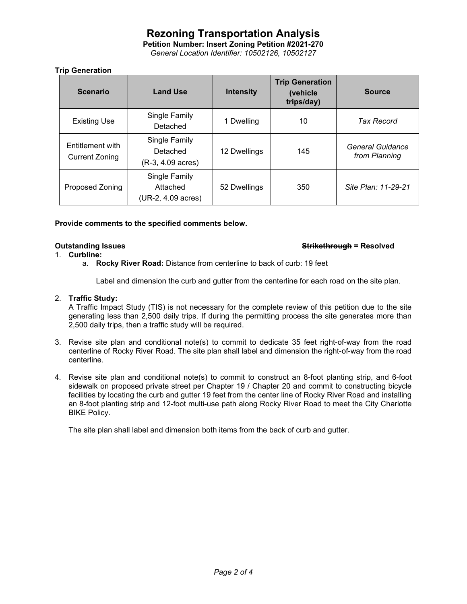**Petition Number: Insert Zoning Petition #2021-270** *General Location Identifier: 10502126, 10502127*

# **Trip Generation**

| <b>Scenario</b>                           | <b>Land Use</b>                                 | <b>Intensity</b> | <b>Trip Generation</b><br>(vehicle<br>trips/day) | <b>Source</b>                     |
|-------------------------------------------|-------------------------------------------------|------------------|--------------------------------------------------|-----------------------------------|
| <b>Existing Use</b>                       | Single Family<br>Detached                       | 1 Dwelling       | 10                                               | <b>Tax Record</b>                 |
| Entitlement with<br><b>Current Zoning</b> | Single Family<br>Detached<br>(R-3, 4.09 acres)  | 12 Dwellings     | 145                                              | General Guidance<br>from Planning |
| <b>Proposed Zoning</b>                    | Single Family<br>Attached<br>(UR-2, 4.09 acres) | 52 Dwellings     | 350                                              | Site Plan: 11-29-21               |

### **Provide comments to the specified comments below.**

#### **Outstanding Issues Strikethrough = Resolved**

# 1. **Curbline:**

a. **Rocky River Road:** Distance from centerline to back of curb: 19 feet

Label and dimension the curb and gutter from the centerline for each road on the site plan.

# 2. **Traffic Study:**

A Traffic Impact Study (TIS) is not necessary for the complete review of this petition due to the site generating less than 2,500 daily trips. If during the permitting process the site generates more than 2,500 daily trips, then a traffic study will be required.

- 3. Revise site plan and conditional note(s) to commit to dedicate 35 feet right-of-way from the road centerline of Rocky River Road. The site plan shall label and dimension the right-of-way from the road centerline.
- 4. Revise site plan and conditional note(s) to commit to construct an 8-foot planting strip, and 6-foot sidewalk on proposed private street per Chapter 19 / Chapter 20 and commit to constructing bicycle facilities by locating the curb and gutter 19 feet from the center line of Rocky River Road and installing an 8-foot planting strip and 12-foot multi-use path along Rocky River Road to meet the City Charlotte BIKE Policy.

The site plan shall label and dimension both items from the back of curb and gutter.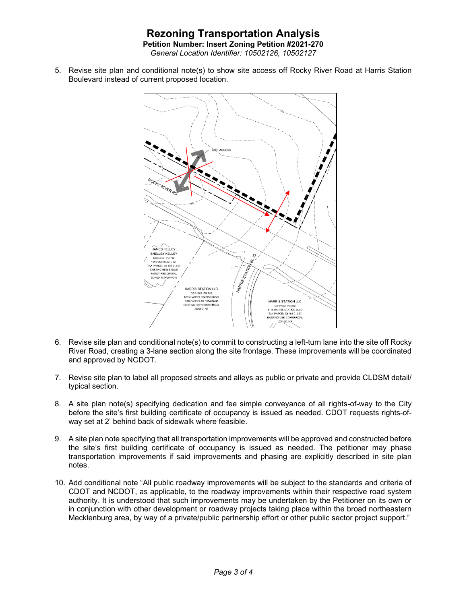**Petition Number: Insert Zoning Petition #2021-270** *General Location Identifier: 10502126, 10502127*

5. Revise site plan and conditional note(s) to show site access off Rocky River Road at Harris Station Boulevard instead of current proposed location.



- 6. Revise site plan and conditional note(s) to commit to constructing a left-turn lane into the site off Rocky River Road, creating a 3-lane section along the site frontage. These improvements will be coordinated and approved by NCDOT.
- 7. Revise site plan to label all proposed streets and alleys as public or private and provide CLDSM detail/ typical section.
- 8. A site plan note(s) specifying dedication and fee simple conveyance of all rights-of-way to the City before the site's first building certificate of occupancy is issued as needed. CDOT requests rights-ofway set at 2' behind back of sidewalk where feasible.
- 9. A site plan note specifying that all transportation improvements will be approved and constructed before the site's first building certificate of occupancy is issued as needed. The petitioner may phase transportation improvements if said improvements and phasing are explicitly described in site plan notes.
- 10. Add conditional note "All public roadway improvements will be subject to the standards and criteria of CDOT and NCDOT, as applicable, to the roadway improvements within their respective road system authority. It is understood that such improvements may be undertaken by the Petitioner on its own or in conjunction with other development or roadway projects taking place within the broad northeastern Mecklenburg area, by way of a private/public partnership effort or other public sector project support."